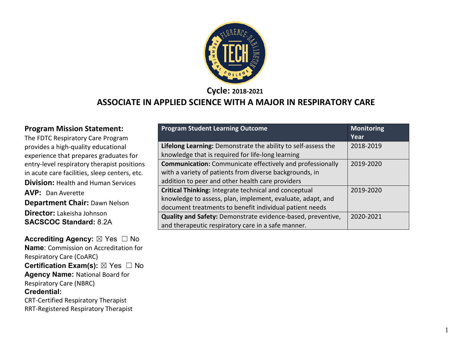

**Cycle: 2018-2021**

#### **ASSOCIATE IN APPLIED SCIENCE WITH A MAJOR IN RESPIRATORY CARE**

#### **Program Mission Statement:**

The FDTC Respiratory Care Program provides a high-quality educational experience that prepares graduates for entry-level respiratory therapist positions in acute care facilities, sleep centers, etc. **Division:** Health and Human Services **AVP:** Dan Averette **Department Chair:** Dawn Nelson **Director:** Lakeisha Johnson **SACSCOC Standard:** 8.2A

**Accrediting Agency: ⊠ Yes □ No Name**: Commission on Accreditation for Respiratory Care (CoARC) **Certification Exam(s): ⊠ Yes □ No Agency Name:** National Board for Respiratory Care (NBRC) **Credential:** CRT-Certified Respiratory Therapist RRT-Registered Respiratory Therapist

| <b>Program Student Learning Outcome</b>                            | <b>Monitoring</b> |
|--------------------------------------------------------------------|-------------------|
|                                                                    | Year              |
| Lifelong Learning: Demonstrate the ability to self-assess the      | 2018-2019         |
| knowledge that is required for life-long learning                  |                   |
| <b>Communication:</b> Communicate effectively and professionally   | 2019-2020         |
| with a variety of patients from diverse backgrounds, in            |                   |
| addition to peer and other health care providers                   |                   |
| Critical Thinking: Integrate technical and conceptual              | 2019-2020         |
| knowledge to assess, plan, implement, evaluate, adapt, and         |                   |
| document treatments to benefit individual patient needs            |                   |
| <b>Quality and Safety: Demonstrate evidence-based, preventive,</b> | 2020-2021         |
| and therapeutic respiratory care in a safe manner.                 |                   |

1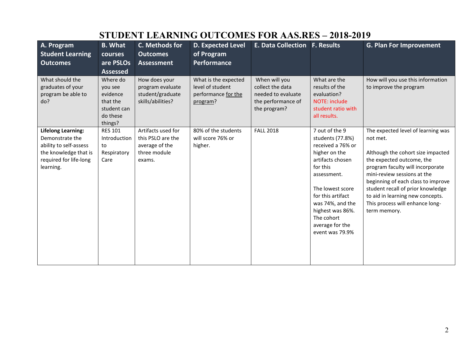|                                                                                                                                        |                                                                                   |                                                                                     | 9 I UDEN I  LEANNING UU I CUMES FUN AAS.NES – 2010-2017                     |                                                                                               |                                                                                                                                                                                                                                                              |                                                                                                                                                                                                                                                                                                                                                       |
|----------------------------------------------------------------------------------------------------------------------------------------|-----------------------------------------------------------------------------------|-------------------------------------------------------------------------------------|-----------------------------------------------------------------------------|-----------------------------------------------------------------------------------------------|--------------------------------------------------------------------------------------------------------------------------------------------------------------------------------------------------------------------------------------------------------------|-------------------------------------------------------------------------------------------------------------------------------------------------------------------------------------------------------------------------------------------------------------------------------------------------------------------------------------------------------|
| A. Program<br><b>Student Learning</b><br><b>Outcomes</b>                                                                               | <b>B.</b> What<br>courses<br>are PSLOs<br><b>Assessed</b>                         | C. Methods for<br><b>Outcomes</b><br><b>Assessment</b>                              | <b>D. Expected Level</b><br>of Program<br><b>Performance</b>                | <b>E. Data Collection</b>                                                                     | <b>F. Results</b>                                                                                                                                                                                                                                            | <b>G. Plan For Improvement</b>                                                                                                                                                                                                                                                                                                                        |
| What should the<br>graduates of your<br>program be able to<br>do?                                                                      | Where do<br>you see<br>evidence<br>that the<br>student can<br>do these<br>things? | How does your<br>program evaluate<br>student/graduate<br>skills/abilities?          | What is the expected<br>level of student<br>performance for the<br>program? | When will you<br>collect the data<br>needed to evaluate<br>the performance of<br>the program? | What are the<br>results of the<br>evaluation?<br>NOTE: include<br>student ratio with<br>all results.                                                                                                                                                         | How will you use this information<br>to improve the program                                                                                                                                                                                                                                                                                           |
| <b>Lifelong Learning:</b><br>Demonstrate the<br>ability to self-assess<br>the knowledge that is<br>required for life-long<br>learning. | <b>RES 101</b><br>Introduction<br>to<br>Respiratory<br>Care                       | Artifacts used for<br>this PSLO are the<br>average of the<br>three module<br>exams. | 80% of the students<br>will score 76% or<br>higher.                         | <b>FALL 2018</b>                                                                              | 7 out of the 9<br>students (77.8%)<br>received a 76% or<br>higher on the<br>artifacts chosen<br>for this<br>assessment.<br>The lowest score<br>for this artifact<br>was 74%, and the<br>highest was 86%.<br>The cohort<br>average for the<br>event was 79.9% | The expected level of learning was<br>not met.<br>Although the cohort size impacted<br>the expected outcome, the<br>program faculty will incorporate<br>mini-review sessions at the<br>beginning of each class to improve<br>student recall of prior knowledge<br>to aid in learning new concepts.<br>This process will enhance long-<br>term memory. |

# **STUDENT LEARNING OUTCOMES FOR AAS.RES – 2018-2019**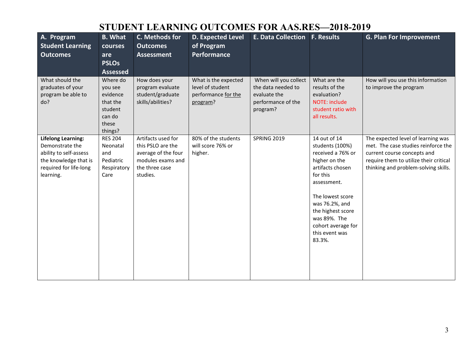### **STUDENT LEARNING OUTCOMES FOR AAS.RES—2018-2019**

| A. Program<br><b>Student Learning</b><br><b>Outcomes</b>                                                                               | <b>B.</b> What<br>courses<br>are<br><b>PSLOs</b><br><b>Assessed</b>                  | C. Methods for<br><b>Outcomes</b><br><b>Assessment</b>                                                            | <b>D. Expected Level</b><br>of Program<br>Performance                       | <b>E. Data Collection</b>                                                                     | <b>F. Results</b>                                                                                                                                                                                                                                 | <b>G. Plan For Improvement</b>                                                                                                                                                             |
|----------------------------------------------------------------------------------------------------------------------------------------|--------------------------------------------------------------------------------------|-------------------------------------------------------------------------------------------------------------------|-----------------------------------------------------------------------------|-----------------------------------------------------------------------------------------------|---------------------------------------------------------------------------------------------------------------------------------------------------------------------------------------------------------------------------------------------------|--------------------------------------------------------------------------------------------------------------------------------------------------------------------------------------------|
| What should the<br>graduates of your<br>program be able to<br>do?                                                                      | Where do<br>you see<br>evidence<br>that the<br>student<br>can do<br>these<br>things? | How does your<br>program evaluate<br>student/graduate<br>skills/abilities?                                        | What is the expected<br>level of student<br>performance for the<br>program? | When will you collect<br>the data needed to<br>evaluate the<br>performance of the<br>program? | What are the<br>results of the<br>evaluation?<br><b>NOTE: include</b><br>student ratio with<br>all results.                                                                                                                                       | How will you use this information<br>to improve the program                                                                                                                                |
| <b>Lifelong Learning:</b><br>Demonstrate the<br>ability to self-assess<br>the knowledge that is<br>required for life-long<br>learning. | <b>RES 204</b><br>Neonatal<br>and<br>Pediatric<br>Respiratory<br>Care                | Artifacts used for<br>this PSLO are the<br>average of the four<br>modules exams and<br>the three case<br>studies. | 80% of the students<br>will score 76% or<br>higher.                         | <b>SPRING 2019</b>                                                                            | 14 out of 14<br>students (100%)<br>received a 76% or<br>higher on the<br>artifacts chosen<br>for this<br>assessment.<br>The lowest score<br>was 76.2%, and<br>the highest score<br>was 89%. The<br>cohort average for<br>this event was<br>83.3%. | The expected level of learning was<br>met. The case studies reinforce the<br>current course concepts and<br>require them to utilize their critical<br>thinking and problem-solving skills. |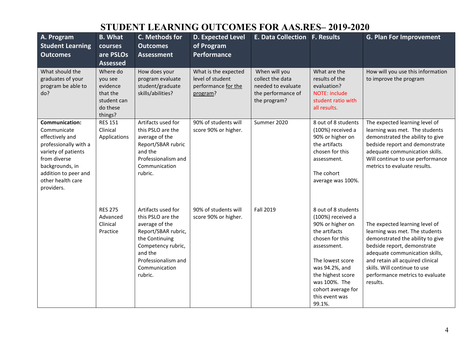### **STUDENT LEARNING OUTCOMES FOR AAS.RES– 2019-2020**

| A. Program<br><b>Student Learning</b><br><b>Outcomes</b>                                                                                                                                              | <b>B.</b> What<br>courses<br>are PSLOs<br><b>Assessed</b>                         | C. Methods for<br><b>Outcomes</b><br><b>Assessment</b>                                                                                                                                 | <b>D. Expected Level</b><br>of Program<br><b>Performance</b>                | <b>E. Data Collection F. Results</b>                                                          |                                                                                                                                                                                                                                               | <b>G. Plan For Improvement</b>                                                                                                                                                                                                                                                           |
|-------------------------------------------------------------------------------------------------------------------------------------------------------------------------------------------------------|-----------------------------------------------------------------------------------|----------------------------------------------------------------------------------------------------------------------------------------------------------------------------------------|-----------------------------------------------------------------------------|-----------------------------------------------------------------------------------------------|-----------------------------------------------------------------------------------------------------------------------------------------------------------------------------------------------------------------------------------------------|------------------------------------------------------------------------------------------------------------------------------------------------------------------------------------------------------------------------------------------------------------------------------------------|
| What should the<br>graduates of your<br>program be able to<br>do?                                                                                                                                     | Where do<br>you see<br>evidence<br>that the<br>student can<br>do these<br>things? | How does your<br>program evaluate<br>student/graduate<br>skills/abilities?                                                                                                             | What is the expected<br>level of student<br>performance for the<br>program? | When will you<br>collect the data<br>needed to evaluate<br>the performance of<br>the program? | What are the<br>results of the<br>evaluation?<br><b>NOTE: include</b><br>student ratio with<br>all results.                                                                                                                                   | How will you use this information<br>to improve the program                                                                                                                                                                                                                              |
| <b>Communication:</b><br>Communicate<br>effectively and<br>professionally with a<br>variety of patients<br>from diverse<br>backgrounds, in<br>addition to peer and<br>other health care<br>providers. | <b>RES 151</b><br>Clinical<br>Applications                                        | Artifacts used for<br>this PSLO are the<br>average of the<br>Report/SBAR rubric<br>and the<br>Professionalism and<br>Communication<br>rubric.                                          | 90% of students will<br>score 90% or higher.                                | Summer 2020                                                                                   | 8 out of 8 students<br>(100%) received a<br>90% or higher on<br>the artifacts<br>chosen for this<br>assessment.<br>The cohort<br>average was 100%.                                                                                            | The expected learning level of<br>learning was met. The students<br>demonstrated the ability to give<br>bedside report and demonstrate<br>adequate communication skills.<br>Will continue to use performance<br>metrics to evaluate results.                                             |
|                                                                                                                                                                                                       | <b>RES 275</b><br>Advanced<br>Clinical<br>Practice                                | Artifacts used for<br>this PSLO are the<br>average of the<br>Report/SBAR rubric,<br>the Continuing<br>Competency rubric,<br>and the<br>Professionalism and<br>Communication<br>rubric. | 90% of students will<br>score 90% or higher.                                | Fall 2019                                                                                     | 8 out of 8 students<br>(100%) received a<br>90% or higher on<br>the artifacts<br>chosen for this<br>assessment.<br>The lowest score<br>was 94.2%, and<br>the highest score<br>was 100%. The<br>cohort average for<br>this event was<br>99.1%. | The expected learning level of<br>learning was met. The students<br>demonstrated the ability to give<br>bedside report, demonstrate<br>adequate communication skills,<br>and retain all acquired clinical<br>skills. Will continue to use<br>performance metrics to evaluate<br>results. |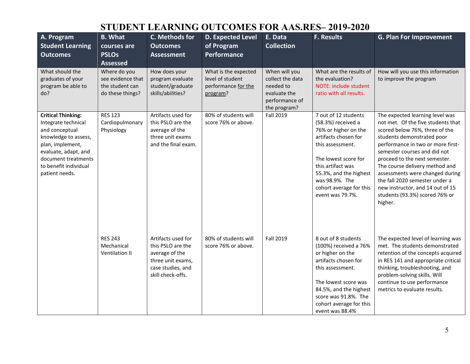# **STUDENT LEARNING OUTCOMES FOR AAS.RES– 2019-2020**

| A. Program<br><b>Student Learning</b><br><b>Outcomes</b>                                                                                                                                                 | <b>B.</b> What<br>courses are<br><b>PSLOs</b><br><b>Assessed</b>         | C. Methods for<br><b>Outcomes</b><br><b>Assessment</b>                                                                   | <b>D. Expected Level</b><br>of Program<br>Performance                       | E. Data<br><b>Collection</b>                                                                     | <b>F. Results</b>                                                                                                                                                                                                                                      | <b>G. Plan For Improvement</b>                                                                                                                                                                                                                                                                                                                                                                                                      |
|----------------------------------------------------------------------------------------------------------------------------------------------------------------------------------------------------------|--------------------------------------------------------------------------|--------------------------------------------------------------------------------------------------------------------------|-----------------------------------------------------------------------------|--------------------------------------------------------------------------------------------------|--------------------------------------------------------------------------------------------------------------------------------------------------------------------------------------------------------------------------------------------------------|-------------------------------------------------------------------------------------------------------------------------------------------------------------------------------------------------------------------------------------------------------------------------------------------------------------------------------------------------------------------------------------------------------------------------------------|
| What should the<br>graduates of your<br>program be able to<br>do?                                                                                                                                        | Where do you<br>see evidence that<br>the student can<br>do these things? | How does your<br>program evaluate<br>student/graduate<br>skills/abilities?                                               | What is the expected<br>level of student<br>performance for the<br>program? | When will you<br>collect the data<br>needed to<br>evaluate the<br>performance of<br>the program? | What are the results of<br>the evaluation?<br>NOTE: include student<br>ratio with all results.                                                                                                                                                         | How will you use this information<br>to improve the program                                                                                                                                                                                                                                                                                                                                                                         |
| <b>Critical Thinking:</b><br>Integrate technical<br>and conceptual<br>knowledge to assess,<br>plan, implement,<br>evaluate, adapt, and<br>document treatments<br>to benefit individual<br>patient needs. | <b>RES 123</b><br>Cardiopulmonary<br>Physiology                          | Artifacts used for<br>this PSLO are the<br>average of the<br>three unit exams<br>and the final exam.                     | 80% of students will<br>score 76% or above.                                 | <b>Fall 2019</b>                                                                                 | 7 out of 12 students<br>(58.3%) received a<br>76% or higher on the<br>artifacts chosen for<br>this assessment.<br>The lowest score for<br>this artifact was<br>55.3%, and the highest<br>was 98.9%. The<br>cohort average for this<br>event was 79.7%. | The expected learning level was<br>not met. Of the five students that<br>scored below 76%, three of the<br>students demonstrated poor<br>performance in two or more first-<br>semester courses and did not<br>proceed to the next semester.<br>The course delivery method and<br>assessments were changed during<br>the fall 2020 semester under a<br>new instructor, and 14 out of 15<br>students (93.3%) scored 76% or<br>higher. |
|                                                                                                                                                                                                          | <b>RES 243</b><br>Mechanical<br>Ventilation II                           | Artifacts used for<br>this PSLO are the<br>average of the<br>three unit exams,<br>case studies, and<br>skill check-offs. | 80% of students will<br>score 76% or above.                                 | <b>Fall 2019</b>                                                                                 | 8 out of 8 students<br>(100%) received a 76%<br>or higher on the<br>artifacts chosen for<br>this assessment.<br>The lowest score was<br>84.5%, and the highest<br>score was 91.8%. The<br>cohort average for this<br>event was 88.4%                   | The expected level of learning was<br>met. The students demonstrated<br>retention of the concepts acquired<br>in RES 141 and appropriate critical<br>thinking, troubleshooting, and<br>problem-solving skills. Will<br>continue to use performance<br>metrics to evaluate results.                                                                                                                                                  |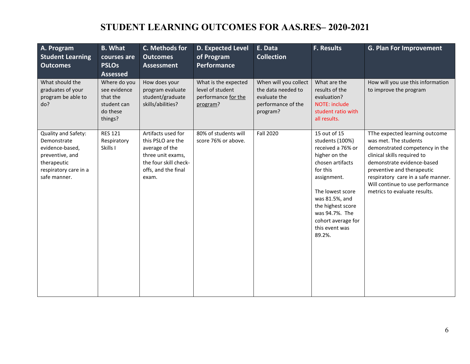# **STUDENT LEARNING OUTCOMES FOR AAS.RES– 2020-2021**

| A. Program<br><b>Student Learning</b><br><b>Outcomes</b>                                                                         | <b>B.</b> What<br>courses are<br><b>PSLOs</b><br><b>Assessed</b>               | C. Methods for<br><b>Outcomes</b><br><b>Assessment</b>                                                                                  | <b>D. Expected Level</b><br>of Program<br>Performance                       | E. Data<br><b>Collection</b>                                                                  | <b>F. Results</b>                                                                                                                                                                                                                                   | <b>G. Plan For Improvement</b>                                                                                                                                                                                                                                                                 |
|----------------------------------------------------------------------------------------------------------------------------------|--------------------------------------------------------------------------------|-----------------------------------------------------------------------------------------------------------------------------------------|-----------------------------------------------------------------------------|-----------------------------------------------------------------------------------------------|-----------------------------------------------------------------------------------------------------------------------------------------------------------------------------------------------------------------------------------------------------|------------------------------------------------------------------------------------------------------------------------------------------------------------------------------------------------------------------------------------------------------------------------------------------------|
| What should the<br>graduates of your<br>program be able to<br>do?                                                                | Where do you<br>see evidence<br>that the<br>student can<br>do these<br>things? | How does your<br>program evaluate<br>student/graduate<br>skills/abilities?                                                              | What is the expected<br>level of student<br>performance for the<br>program? | When will you collect<br>the data needed to<br>evaluate the<br>performance of the<br>program? | What are the<br>results of the<br>evaluation?<br>NOTE: include<br>student ratio with<br>all results.                                                                                                                                                | How will you use this information<br>to improve the program                                                                                                                                                                                                                                    |
| Quality and Safety:<br>Demonstrate<br>evidence-based,<br>preventive, and<br>therapeutic<br>respiratory care in a<br>safe manner. | <b>RES 121</b><br>Respiratory<br>Skills I                                      | Artifacts used for<br>this PSLO are the<br>average of the<br>three unit exams,<br>the four skill check-<br>offs, and the final<br>exam. | 80% of students will<br>score 76% or above.                                 | <b>Fall 2020</b>                                                                              | 15 out of 15<br>students (100%)<br>received a 76% or<br>higher on the<br>chosen artifacts<br>for this<br>assignment.<br>The lowest score<br>was 81.5%, and<br>the highest score<br>was 94.7%. The<br>cohort average for<br>this event was<br>89.2%. | TThe expected learning outcome<br>was met. The students<br>demonstrated competency in the<br>clinical skills required to<br>demonstrate evidence-based<br>preventive and therapeutic<br>respiratory care in a safe manner.<br>Will continue to use performance<br>metrics to evaluate results. |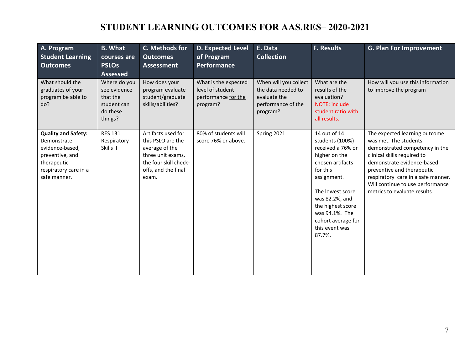# **STUDENT LEARNING OUTCOMES FOR AAS.RES– 2020-2021**

| A. Program<br><b>Student Learning</b><br><b>Outcomes</b>                                                                                | <b>B.</b> What<br>courses are<br><b>PSLOs</b><br><b>Assessed</b>               | C. Methods for<br><b>Outcomes</b><br><b>Assessment</b>                                                                                  | <b>D. Expected Level</b><br>of Program<br>Performance                       | E. Data<br><b>Collection</b>                                                                  | <b>F. Results</b>                                                                                                                                                                                                                                   | <b>G. Plan For Improvement</b>                                                                                                                                                                                                                                                                |
|-----------------------------------------------------------------------------------------------------------------------------------------|--------------------------------------------------------------------------------|-----------------------------------------------------------------------------------------------------------------------------------------|-----------------------------------------------------------------------------|-----------------------------------------------------------------------------------------------|-----------------------------------------------------------------------------------------------------------------------------------------------------------------------------------------------------------------------------------------------------|-----------------------------------------------------------------------------------------------------------------------------------------------------------------------------------------------------------------------------------------------------------------------------------------------|
| What should the<br>graduates of your<br>program be able to<br>do?                                                                       | Where do you<br>see evidence<br>that the<br>student can<br>do these<br>things? | How does your<br>program evaluate<br>student/graduate<br>skills/abilities?                                                              | What is the expected<br>level of student<br>performance for the<br>program? | When will you collect<br>the data needed to<br>evaluate the<br>performance of the<br>program? | What are the<br>results of the<br>evaluation?<br><b>NOTE: include</b><br>student ratio with<br>all results.                                                                                                                                         | How will you use this information<br>to improve the program                                                                                                                                                                                                                                   |
| <b>Quality and Safety:</b><br>Demonstrate<br>evidence-based,<br>preventive, and<br>therapeutic<br>respiratory care in a<br>safe manner. | <b>RES 131</b><br>Respiratory<br>Skills II                                     | Artifacts used for<br>this PSLO are the<br>average of the<br>three unit exams,<br>the four skill check-<br>offs, and the final<br>exam. | 80% of students will<br>score 76% or above.                                 | Spring 2021                                                                                   | 14 out of 14<br>students (100%)<br>received a 76% or<br>higher on the<br>chosen artifacts<br>for this<br>assignment.<br>The lowest score<br>was 82.2%, and<br>the highest score<br>was 94.1%. The<br>cohort average for<br>this event was<br>87.7%. | The expected learning outcome<br>was met. The students<br>demonstrated competency in the<br>clinical skills required to<br>demonstrate evidence-based<br>preventive and therapeutic<br>respiratory care in a safe manner.<br>Will continue to use performance<br>metrics to evaluate results. |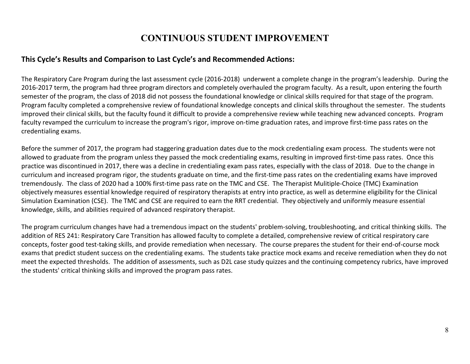#### **CONTINUOUS STUDENT IMPROVEMENT**

#### **This Cycle's Results and Comparison to Last Cycle's and Recommended Actions:**

The Respiratory Care Program during the last assessment cycle (2016-2018) underwent a complete change in the program's leadership. During the 2016-2017 term, the program had three program directors and completely overhauled the program faculty. As a result, upon entering the fourth semester of the program, the class of 2018 did not possess the foundational knowledge or clinical skills required for that stage of the program. Program faculty completed a comprehensive review of foundational knowledge concepts and clinical skills throughout the semester. The students improved their clinical skills, but the faculty found it difficult to provide a comprehensive review while teaching new advanced concepts. Program faculty revamped the curriculum to increase the program's rigor, improve on-time graduation rates, and improve first-time pass rates on the credentialing exams.

Before the summer of 2017, the program had staggering graduation dates due to the mock credentialing exam process. The students were not allowed to graduate from the program unless they passed the mock credentialing exams, resulting in improved first-time pass rates. Once this practice was discontinued in 2017, there was a decline in credentialing exam pass rates, especially with the class of 2018. Due to the change in curriculum and increased program rigor, the students graduate on time, and the first-time pass rates on the credentialing exams have improved tremendously. The class of 2020 had a 100% first-time pass rate on the TMC and CSE. The Therapist Mulitiple-Choice (TMC) Examination objectively measures essential knowledge required of respiratory therapists at entry into practice, as well as determine eligibility for the Clinical Simulation Examination (CSE). The TMC and CSE are required to earn the RRT credential. They objectively and uniformly measure essential knowledge, skills, and abilities required of advanced respiratory therapist.

The program curriculum changes have had a tremendous impact on the students' problem-solving, troubleshooting, and critical thinking skills. The addition of RES 241: Respiratory Care Transition has allowed faculty to complete a detailed, comprehensive review of critical respiratory care concepts, foster good test-taking skills, and provide remediation when necessary. The course prepares the student for their end-of-course mock exams that predict student success on the credentialing exams. The students take practice mock exams and receive remediation when they do not meet the expected thresholds. The addition of assessments, such as D2L case study quizzes and the continuing competency rubrics, have improved the students' critical thinking skills and improved the program pass rates.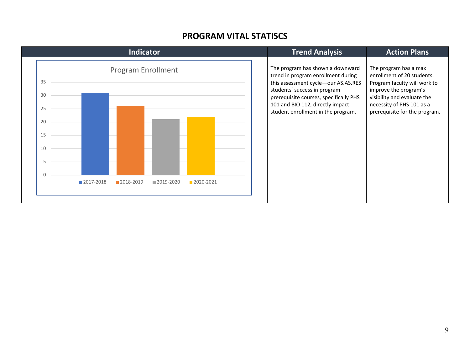#### **PROGRAM VITAL STATISCS**

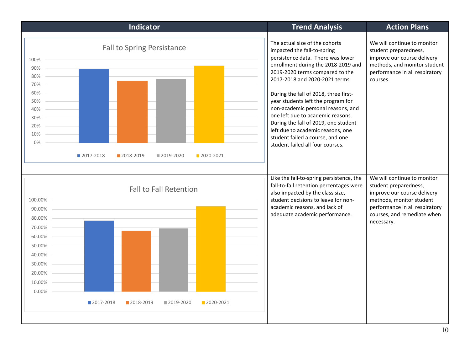| <b>Indicator</b>                                                                                                                                                                                    | <b>Trend Analysis</b>                                                                                                                                                                                                                                                                                                                                                                                                                                                                                                         | <b>Action Plans</b>                                                                                                                                                                            |
|-----------------------------------------------------------------------------------------------------------------------------------------------------------------------------------------------------|-------------------------------------------------------------------------------------------------------------------------------------------------------------------------------------------------------------------------------------------------------------------------------------------------------------------------------------------------------------------------------------------------------------------------------------------------------------------------------------------------------------------------------|------------------------------------------------------------------------------------------------------------------------------------------------------------------------------------------------|
| <b>Fall to Spring Persistance</b><br>100%<br>90%<br>80%<br>70%<br>60%<br>50%<br>40%<br>30%<br>20%<br>10%<br>0%<br>■ 2017-2018<br>■ 2018-2019<br>■ 2019-2020<br>2020-2021                            | The actual size of the cohorts<br>impacted the fall-to-spring<br>persistence data. There was lower<br>enrollment during the 2018-2019 and<br>2019-2020 terms compared to the<br>2017-2018 and 2020-2021 terms.<br>During the fall of 2018, three first-<br>year students left the program for<br>non-academic personal reasons, and<br>one left due to academic reasons.<br>During the fall of 2019, one student<br>left due to academic reasons, one<br>student failed a course, and one<br>student failed all four courses. | We will continue to monitor<br>student preparedness,<br>improve our course delivery<br>methods, and monitor student<br>performance in all respiratory<br>courses.                              |
| <b>Fall to Fall Retention</b><br>100.00%<br>90.00%<br>80.00%<br>70.00%<br>60.00%<br>50.00%<br>40.00%<br>30.00%<br>20.00%<br>10.00%<br>0.00%<br>■ 2017-2018<br>2018-2019<br>2020-2021<br>■ 2019-2020 | Like the fall-to-spring persistence, the<br>fall-to-fall retention percentages were<br>also impacted by the class size,<br>student decisions to leave for non-<br>academic reasons, and lack of<br>adequate academic performance.                                                                                                                                                                                                                                                                                             | We will continue to monitor<br>student preparedness,<br>improve our course delivery<br>methods, monitor student<br>performance in all respiratory<br>courses, and remediate when<br>necessary. |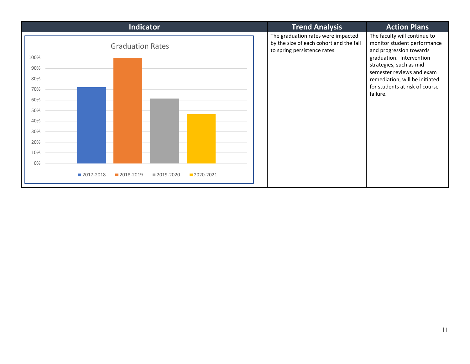